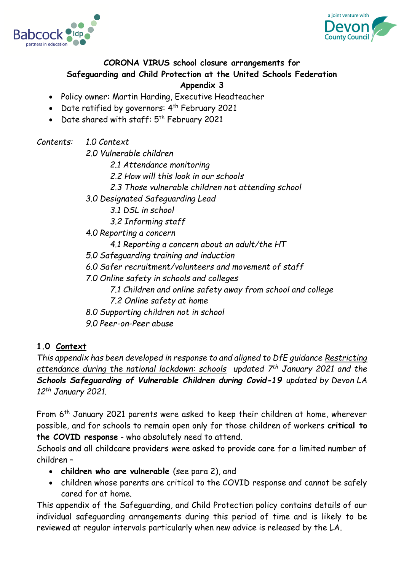



#### **CORONA VIRUS school closure arrangements for Safeguarding and Child Protection at the United Schools Federation**

#### **Appendix 3**

- Policy owner: Martin Harding, Executive Headteacher
- Date ratified by governors:  $4^{th}$  February 2021
- Date shared with staff: 5<sup>th</sup> February 2021

*Contents: 1.0 Context*

*2.0 Vulnerable children*

*2.1 Attendance monitoring*

*2.2 How will this look in our schools*

- *2.3 Those vulnerable children not attending school*
- *3.0 Designated Safeguarding Lead*
	- *3.1 DSL in school*
	- *3.2 Informing staff*
- *4.0 Reporting a concern*
	- *4.1 Reporting a concern about an adult/the HT*
- *5.0 Safeguarding training and induction*

*6.0 Safer recruitment/volunteers and movement of staff*

- *7.0 Online safety in schools and colleges*
	- *7.1 Children and online safety away from school and college*
	- *7.2 Online safety at home*
- *8.0 Supporting children not in school*
- *9.0 Peer-on-Peer abuse*

# **1.0 Context**

*This appendix has been developed in response to and aligned to DfE guidance [Restricting](https://www.gov.uk/government/publications/actions-for-schools-during-the-coronavirus-outbreak)  [attendance during the national lockdown: schools](https://www.gov.uk/government/publications/actions-for-schools-during-the-coronavirus-outbreak) updated 7 th January 2021 and the*  **Schools Safeguarding of Vulnerable Children during Covid-19** updated by Devon LA *12th January 2021.*

From 6<sup>th</sup> January 2021 parents were asked to keep their children at home, wherever possible, and for schools to remain open only for those children of workers **critical to the COVID response** - who absolutely need to attend.

Schools and all childcare providers were asked to provide care for a limited number of children –

- **children who are vulnerable** (see para 2), and
- children whose parents are critical to the COVID response and cannot be safely cared for at home.

This appendix of the Safeguarding, and Child Protection policy contains details of our individual safeguarding arrangements during this period of time and is likely to be reviewed at regular intervals particularly when new advice is released by the LA.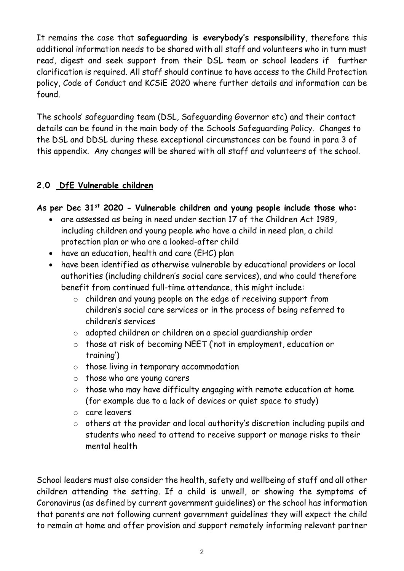It remains the case that **safeguarding is everybody's responsibility**, therefore this additional information needs to be shared with all staff and volunteers who in turn must read, digest and seek support from their DSL team or school leaders if further clarification is required. All staff should continue to have access to the Child Protection policy, Code of Conduct and KCSiE 2020 where further details and information can be found.

The schools' safeguarding team (DSL, Safeguarding Governor etc) and their contact details can be found in the main body of the Schools Safeguarding Policy. Changes to the DSL and DDSL during these exceptional circumstances can be found in para 3 of this appendix. Any changes will be shared with all staff and volunteers of the school.

#### **2.0 DfE Vulnerable children**

#### **As per Dec 31st 2020 - Vulnerable children and young people include those who:**

- are assessed as being in need under section 17 of the Children Act 1989, including children and young people who have a child in need plan, a child protection plan or who are a looked-after child
- have an education, health and care (EHC) plan
- have been identified as otherwise vulnerable by educational providers or local authorities (including children's social care services), and who could therefore benefit from continued full-time attendance, this might include:
	- o children and young people on the edge of receiving support from children's social care services or in the process of being referred to children's services
	- o adopted children or children on a special guardianship order
	- o those at risk of becoming NEET ('not in employment, education or training')
	- o those living in temporary accommodation
	- o those who are young carers
	- o those who may have difficulty engaging with remote education at home (for example due to a lack of devices or quiet space to study)
	- o care leavers
	- o others at the provider and local authority's discretion including pupils and students who need to attend to receive support or manage risks to their mental health

School leaders must also consider the health, safety and wellbeing of staff and all other children attending the setting. If a child is unwell, or showing the symptoms of Coronavirus (as defined by current government guidelines) or the school has information that parents are not following current government guidelines they will expect the child to remain at home and offer provision and support remotely informing relevant partner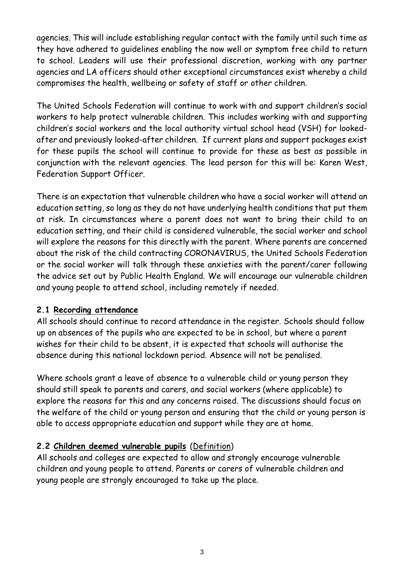agencies. This will include establishing regular contact with the family until such time as they have adhered to guidelines enabling the now well or symptom free child to return to school. Leaders will use their professional discretion, working with any partner agencies and LA officers should other exceptional circumstances exist whereby a child compromises the health, wellbeing or safety of staff or other children.

The United Schools Federation will continue to work with and support children's social workers to help protect vulnerable children. This includes working with and supporting children's social workers and the local authority virtual school head (VSH) for lookedafter and previously looked-after children. If current plans and support packages exist for these pupils the school will continue to provide for these as best as possible in conjunction with the relevant agencies. The lead person for this will be: Karen West, Federation Support Officer.

There is an expectation that vulnerable children who have a social worker will attend an education setting, so long as they do not have underlying health conditions that put them at risk. In circumstances where a parent does not want to bring their child to an education setting, and their child is considered vulnerable, the social worker and school will explore the reasons for this directly with the parent. Where parents are concerned about the risk of the child contracting CORONAVIRUS, the United Schools Federation or the social worker will talk through these anxieties with the parent/carer following the advice set out by Public Health England. We will encourage our vulnerable children and young people to attend school, including remotely if needed.

#### **2.1 Recording attendance**

All schools should continue to record attendance in the register. Schools should follow up on absences of the pupils who are expected to be in school, but where a parent wishes for their child to be absent, it is expected that schools will authorise the absence during this national lockdown period. Absence will not be penalised.

Where schools grant a leave of absence to a vulnerable child or young person they should still speak to parents and carers, and social workers (where applicable) to explore the reasons for this and any concerns raised. The discussions should focus on the welfare of the child or young person and ensuring that the child or young person is able to access appropriate education and support while they are at home.

# **2.2 Children deemed vulnerable pupils** [\(Definition\)](https://www.gov.uk/government/publications/coronavirus-covid-19-maintaining-educational-provision/guidance-for-schools-colleges-and-local-authorities-on-maintaining-educational-provision)

All schools and colleges are expected to allow and strongly encourage vulnerable children and young people to attend. Parents or carers of vulnerable children and young people are strongly encouraged to take up the place.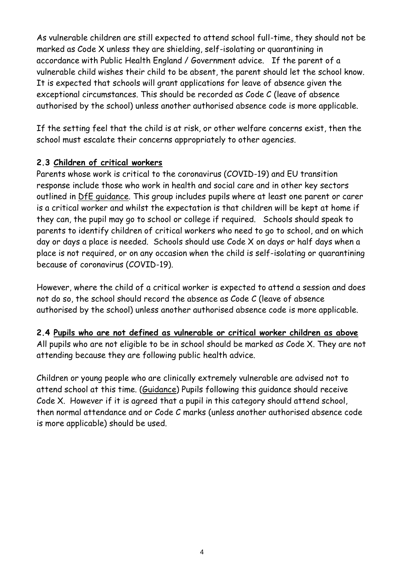As vulnerable children are still expected to attend school full-time, they should not be marked as Code X unless they are shielding, self-isolating or quarantining in accordance with Public Health England / Government advice. If the parent of a vulnerable child wishes their child to be absent, the parent should let the school know. It is expected that schools will grant applications for leave of absence given the exceptional circumstances. This should be recorded as Code C (leave of absence authorised by the school) unless another authorised absence code is more applicable.

If the setting feel that the child is at risk, or other welfare concerns exist, then the school must escalate their concerns appropriately to other agencies.

#### **2.3 Children of critical workers**

Parents whose work is critical to the coronavirus (COVID-19) and EU transition response include those who work in health and social care and in other key sectors outlined in [DfE guidance.](https://www.gov.uk/government/publications/coronavirus-covid-19-maintaining-educational-provision/guidance-for-schools-colleges-and-local-authorities-on-maintaining-educational-provision) This group includes pupils where at least one parent or carer is a critical worker and whilst the expectation is that children will be kept at home if they can, the pupil may go to school or college if required. Schools should speak to parents to identify children of critical workers who need to go to school, and on which day or days a place is needed. Schools should use Code X on days or half days when a place is not required, or on any occasion when the child is self-isolating or quarantining because of coronavirus (COVID-19).

However, where the child of a critical worker is expected to attend a session and does not do so, the school should record the absence as Code C (leave of absence authorised by the school) unless another authorised absence code is more applicable.

# **2.4 Pupils who are not defined as vulnerable or critical worker children as above**

All pupils who are not eligible to be in school should be marked as Code X. They are not attending because they are following public health advice.

Children or young people who are clinically extremely vulnerable are advised not to attend school at this time. [\(Guidance\)](https://www.gov.uk/government/publications/guidance-on-shielding-and-protecting-extremely-vulnerable-persons-from-covid-19/guidance-on-shielding-and-protecting-extremely-vulnerable-persons-from-covid-19#education-settings) Pupils following this guidance should receive Code X. However if it is agreed that a pupil in this category should attend school, then normal attendance and or Code C marks (unless another authorised absence code is more applicable) should be used.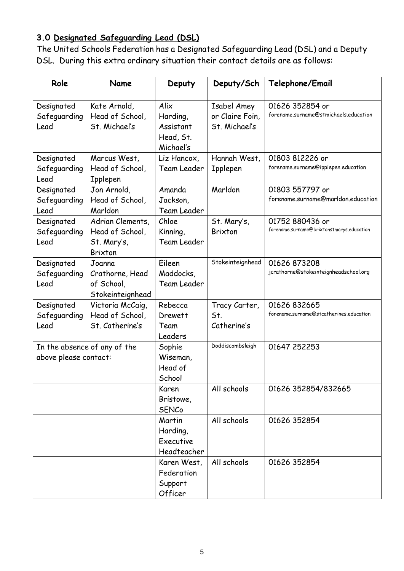# **3.0 Designated Safeguarding Lead (DSL)**

The United Schools Federation has a Designated Safeguarding Lead (DSL) and a Deputy DSL. During this extra ordinary situation their contact details are as follows:

| Role                                                  | Name                                                                 | Deputy                                                  | Deputy/Sch                                      | Telephone/Email                                              |
|-------------------------------------------------------|----------------------------------------------------------------------|---------------------------------------------------------|-------------------------------------------------|--------------------------------------------------------------|
| Designated<br>Safeguarding<br>Lead                    | Kate Arnold,<br>Head of School,<br>St. Michael's                     | Alix<br>Harding,<br>Assistant<br>Head, St.<br>Michael's | Isabel Amey<br>or Claire Foin,<br>St. Michael's | 01626 352854 or<br>forename.surname@stmichaels.education     |
| Designated<br>Safeguarding<br>Lead                    | Marcus West,<br>Head of School,<br><b>Ipplepen</b>                   | Liz Hancox,<br><b>Team Leader</b>                       | Hannah West,<br><b>Ipplepen</b>                 | 01803 812226 or<br>forename.surname@ipplepen.education       |
| Designated<br>Safeguarding<br>Lead                    | Jon Arnold,<br>Head of School,<br>Marldon                            | Amanda<br>Jackson,<br>Team Leader                       | Marldon                                         | 01803 557797 or<br>forename.surname@marldon.education        |
| Designated<br>Safeguarding<br>Lead                    | Adrian Clements,<br>Head of School,<br>St. Mary's,<br><b>Brixton</b> | Chloe<br>Kinning,<br>Team Leader                        | St. Mary's,<br><b>Brixton</b>                   | 01752 880436 or<br>forename.surname@brixtonstmarys.education |
| Designated<br>Safeguarding<br>Lead                    | Joanna<br>Crathorne, Head<br>of School,<br>Stokeinteignhead          | Eileen<br>Maddocks,<br>Team Leader                      | Stokeinteignhead                                | 01626 873208<br>jcrathorne@stokeinteignheadschool.org        |
| Designated<br>Safeguarding<br>Lead                    | Victoria McCaig,<br>Head of School,<br>St. Catherine's               | Rebecca<br>Drewett<br>Team<br>Leaders                   | Tracy Carter,<br>St.<br>Catherine's             | 01626 832665<br>forename.surname@stcatherines.education      |
| In the absence of any of the<br>above please contact: |                                                                      | Sophie<br>Wiseman,<br>Head of<br>School                 | Doddiscombsleigh                                | 01647 252253                                                 |
|                                                       |                                                                      | Karen<br>Bristowe,<br><b>SENCo</b>                      | All schools                                     | 01626 352854/832665                                          |
|                                                       |                                                                      | Martin<br>Harding,<br><b>Executive</b><br>Headteacher   | All schools                                     | 01626 352854                                                 |
|                                                       |                                                                      | Karen West,<br>Federation<br>Support<br>Officer         | All schools                                     | 01626 352854                                                 |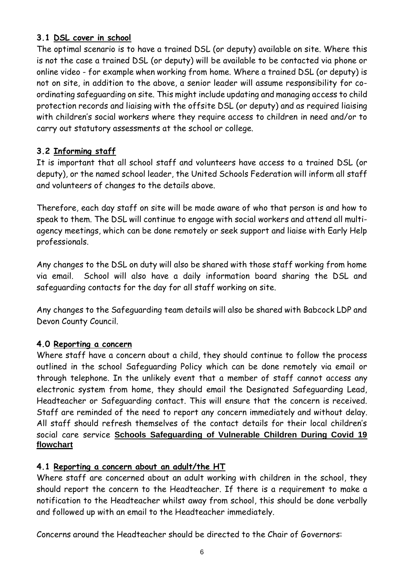#### **3.1 DSL cover in school**

The optimal scenario is to have a trained DSL (or deputy) available on site. Where this is not the case a trained DSL (or deputy) will be available to be contacted via phone or online video - for example when working from home. Where a trained DSL (or deputy) is not on site, in addition to the above, a senior leader will assume responsibility for coordinating safeguarding on site. This might include updating and managing access to child protection records and liaising with the offsite DSL (or deputy) and as required liaising with children's social workers where they require access to children in need and/or to carry out statutory assessments at the school or college.

# **3.2 Informing staff**

It is important that all school staff and volunteers have access to a trained DSL (or deputy), or the named school leader, the United Schools Federation will inform all staff and volunteers of changes to the details above.

Therefore, each day staff on site will be made aware of who that person is and how to speak to them. The DSL will continue to engage with social workers and attend all multiagency meetings, which can be done remotely or seek support and liaise with Early Help professionals.

Any changes to the DSL on duty will also be shared with those staff working from home via email. School will also have a daily information board sharing the DSL and safeguarding contacts for the day for all staff working on site.

Any changes to the Safeguarding team details will also be shared with Babcock LDP and Devon County Council.

# **4.0 Reporting a concern**

Where staff have a concern about a child, they should continue to follow the process outlined in the school Safeguarding Policy which can be done remotely via email or through telephone. In the unlikely event that a member of staff cannot access any electronic system from home, they should email the Designated Safeguarding Lead, Headteacher or Safeguarding contact. This will ensure that the concern is received. Staff are reminded of the need to report any concern immediately and without delay. All staff should refresh themselves of the contact details for their local children's social care service **[Schools Safeguarding of Vulnerable Children During Covid 19](file://///ds2chx003.ds2.devon.gov.uk/user$/Dawn.Stabb/Desktop/temp/(https:/www.devon.gov.uk/schools/my-account/information-for-schools/))  [flowchart](file://///ds2chx003.ds2.devon.gov.uk/user$/Dawn.Stabb/Desktop/temp/(https:/www.devon.gov.uk/schools/my-account/information-for-schools/))**

# **4.1 Reporting a concern about an adult/the HT**

Where staff are concerned about an adult working with children in the school, they should report the concern to the Headteacher. If there is a requirement to make a notification to the Headteacher whilst away from school, this should be done verbally and followed up with an email to the Headteacher immediately.

Concerns around the Headteacher should be directed to the Chair of Governors: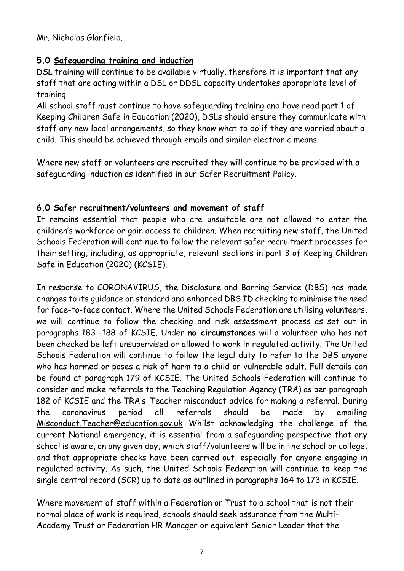Mr. Nicholas Glanfield.

# **5.0 Safeguarding training and induction**

DSL training will continue to be available virtually, therefore it is important that any staff that are acting within a DSL or DDSL capacity undertakes appropriate level of training.

All school staff must continue to have safeguarding training and have read part 1 of Keeping Children Safe in Education (2020), DSLs should ensure they communicate with staff any new local arrangements, so they know what to do if they are worried about a child. This should be achieved through emails and similar electronic means.

Where new staff or volunteers are recruited they will continue to be provided with a safeguarding induction as identified in our Safer Recruitment Policy.

# **6.0 Safer recruitment/volunteers and movement of staff**

It remains essential that people who are unsuitable are not allowed to enter the children's workforce or gain access to children. When recruiting new staff, the United Schools Federation will continue to follow the relevant safer recruitment processes for their setting, including, as appropriate, relevant sections in part 3 of Keeping Children Safe in Education (2020) (KCSIE).

In response to CORONAVIRUS, the Disclosure and Barring Service (DBS) has made changes to its guidance on standard and enhanced DBS ID checking to minimise the need for face-to-face contact. Where the United Schools Federation are utilising volunteers, we will continue to follow the checking and risk assessment process as set out in paragraphs 183 -188 of KCSIE. Under **no circumstances** will a volunteer who has not been checked be left unsupervised or allowed to work in regulated activity. The United Schools Federation will continue to follow the legal duty to refer to the DBS anyone who has harmed or poses a risk of harm to a child or vulnerable adult. Full details can be found at paragraph 179 of KCSIE. The United Schools Federation will continue to consider and make referrals to the Teaching Regulation Agency (TRA) as per paragraph 182 of KCSIE and the TRA's 'Teacher misconduct advice for making a referral. During the coronavirus period all referrals should be made by emailing [Misconduct.Teacher@education.gov.uk](mailto:Misconduct.Teacher@education.gov.uk) Whilst acknowledging the challenge of the current National emergency, it is essential from a safeguarding perspective that any school is aware, on any given day, which staff/volunteers will be in the school or college, and that appropriate checks have been carried out, especially for anyone engaging in regulated activity. As such, the United Schools Federation will continue to keep the single central record (SCR) up to date as outlined in paragraphs 164 to 173 in KCSIE.

Where movement of staff within a Federation or Trust to a school that is not their normal place of work is required, schools should seek assurance from the Multi-Academy Trust or Federation HR Manager or equivalent Senior Leader that the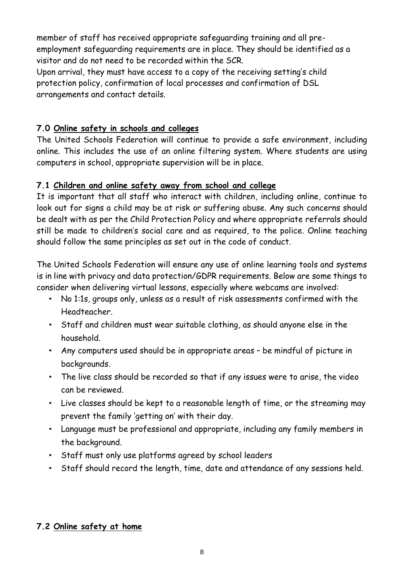member of staff has received appropriate safeguarding training and all preemployment safeguarding requirements are in place. They should be identified as a visitor and do not need to be recorded within the SCR.

Upon arrival, they must have access to a copy of the receiving setting's child protection policy, confirmation of local processes and confirmation of DSL arrangements and contact details.

# **7.0 Online safety in schools and colleges**

The United Schools Federation will continue to provide a safe environment, including online. This includes the use of an online filtering system. Where students are using computers in school, appropriate supervision will be in place.

#### **7.1 Children and online safety away from school and college**

It is important that all staff who interact with children, including online, continue to look out for signs a child may be at risk or suffering abuse. Any such concerns should be dealt with as per the Child Protection Policy and where appropriate referrals should still be made to children's social care and as required, to the police. Online teaching should follow the same principles as set out in the code of conduct.

The United Schools Federation will ensure any use of online learning tools and systems is in line with privacy and data protection/GDPR requirements. Below are some things to consider when delivering virtual lessons, especially where webcams are involved:

- No 1:1s, groups only, unless as a result of risk assessments confirmed with the Headteacher.
- Staff and children must wear suitable clothing, as should anyone else in the household.
- Any computers used should be in appropriate areas be mindful of picture in backgrounds.
- The live class should be recorded so that if any issues were to arise, the video can be reviewed.
- Live classes should be kept to a reasonable length of time, or the streaming may prevent the family 'getting on' with their day.
- Language must be professional and appropriate, including any family members in the background.
- Staff must only use platforms agreed by school leaders
- Staff should record the length, time, date and attendance of any sessions held.

# **7.2 Online safety at home**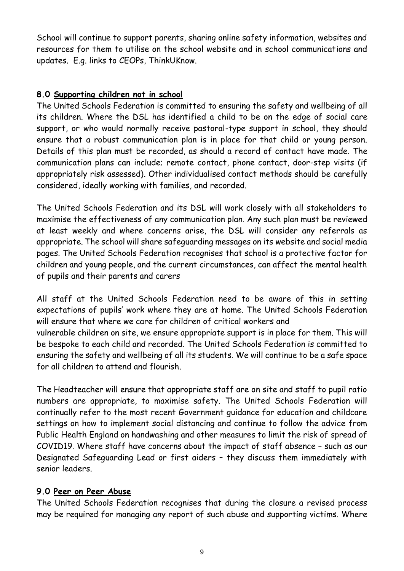School will continue to support parents, sharing online safety information, websites and resources for them to utilise on the school website and in school communications and updates. E.g. links to CEOPs, ThinkUKnow.

#### **8.0 Supporting children not in school**

The United Schools Federation is committed to ensuring the safety and wellbeing of all its children. Where the DSL has identified a child to be on the edge of social care support, or who would normally receive pastoral-type support in school, they should ensure that a robust communication plan is in place for that child or young person. Details of this plan must be recorded, as should a record of contact have made. The communication plans can include; remote contact, phone contact, door-step visits (if appropriately risk assessed). Other individualised contact methods should be carefully considered, ideally working with families, and recorded.

The United Schools Federation and its DSL will work closely with all stakeholders to maximise the effectiveness of any communication plan. Any such plan must be reviewed at least weekly and where concerns arise, the DSL will consider any referrals as appropriate. The school will share safeguarding messages on its website and social media pages. The United Schools Federation recognises that school is a protective factor for children and young people, and the current circumstances, can affect the mental health of pupils and their parents and carers

All staff at the United Schools Federation need to be aware of this in setting expectations of pupils' work where they are at home. The United Schools Federation will ensure that where we care for children of critical workers and vulnerable children on site, we ensure appropriate support is in place for them. This will be bespoke to each child and recorded. The United Schools Federation is committed to ensuring the safety and wellbeing of all its students. We will continue to be a safe space for all children to attend and flourish.

The Headteacher will ensure that appropriate staff are on site and staff to pupil ratio numbers are appropriate, to maximise safety. The United Schools Federation will continually refer to the most recent Government guidance for education and childcare settings on how to implement social distancing and continue to follow the advice from Public Health England on handwashing and other measures to limit the risk of spread of COVID19. Where staff have concerns about the impact of staff absence – such as our Designated Safeguarding Lead or first aiders – they discuss them immediately with senior leaders.

#### **9.0 Peer on Peer Abuse**

The United Schools Federation recognises that during the closure a revised process may be required for managing any report of such abuse and supporting victims. Where